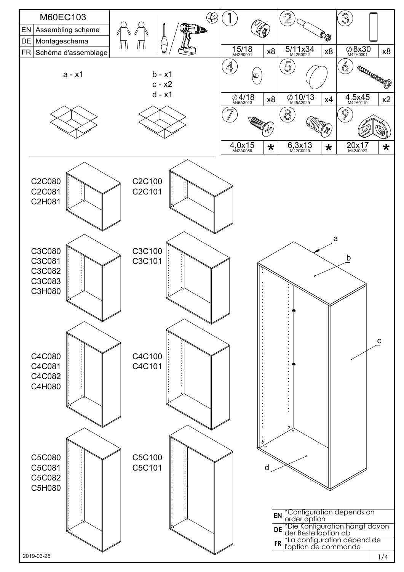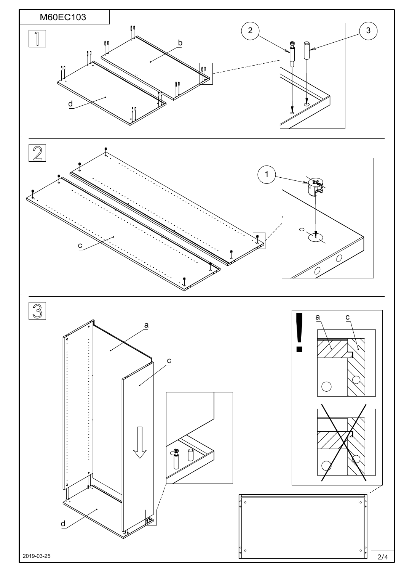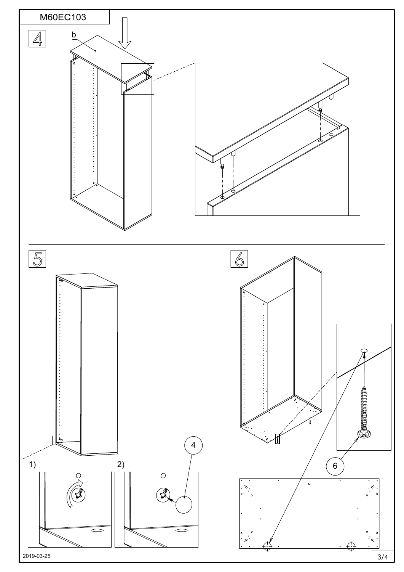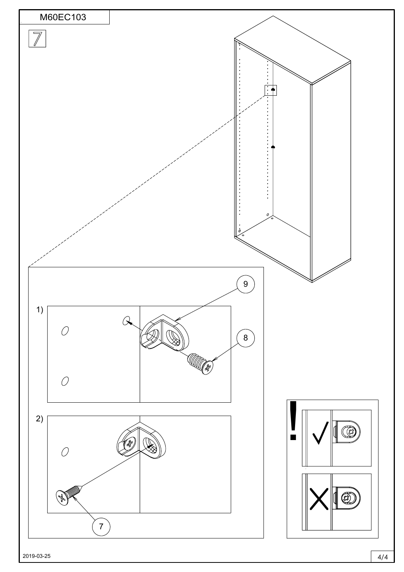